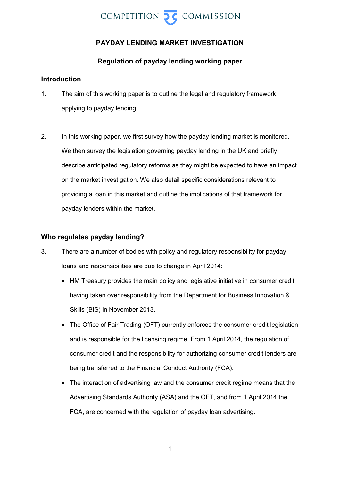

# **PAYDAY LENDING MARKET INVESTIGATION**

# **Regulation of payday lending working paper**

# **Introduction**

- 1. The aim of this working paper is to outline the legal and regulatory framework applying to payday lending.
- 2. In this working paper, we first survey how the payday lending market is monitored. We then survey the legislation governing payday lending in the UK and briefly describe anticipated regulatory reforms as they might be expected to have an impact on the market investigation. We also detail specific considerations relevant to providing a loan in this market and outline the implications of that framework for payday lenders within the market.

## **Who regulates payday lending?**

- <span id="page-0-0"></span>3. There are a number of bodies with policy and regulatory responsibility for payday loans and responsibilities are due to change in April 2014:
	- HM Treasury provides the main policy and legislative initiative in consumer credit having taken over responsibility from the Department for Business Innovation & Skills (BIS) in November 2013.
	- The Office of Fair Trading (OFT) currently enforces the consumer credit legislation and is responsible for the licensing regime. From 1 April 2014, the regulation of consumer credit and the responsibility for authorizing consumer credit lenders are being transferred to the Financial Conduct Authority (FCA).
	- The interaction of advertising law and the consumer credit regime means that the Advertising Standards Authority (ASA) and the OFT, and from 1 April 2014 the FCA, are concerned with the regulation of payday loan advertising.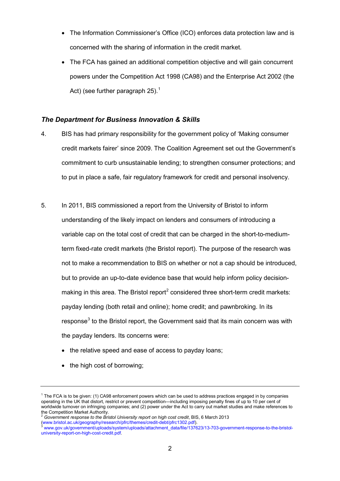- The Information Commissioner's Office (ICO) enforces data protection law and is concerned with the sharing of information in the credit market.
- The FCA has gained an additional competition objective and will gain concurrent powers under the Competition Act 1998 (CA98) and the Enterprise Act 2002 (the Act) (see further paragraph [25\)](#page-8-0).<sup>[1](#page-0-0)</sup>

## *The Department for Business Innovation & Skills*

- 4. BIS has had primary responsibility for the government policy of 'Making consumer credit markets fairer' since 2009. The Coalition Agreement set out the Government's commitment to curb unsustainable lending; to strengthen consumer protections; and to put in place a safe, fair regulatory framework for credit and personal insolvency.
- 5. In 2011, BIS commissioned a report from the University of Bristol to inform understanding of the likely impact on lenders and consumers of introducing a variable cap on the total cost of credit that can be charged in the short-to-mediumterm fixed-rate credit markets (the Bristol report). The purpose of the research was not to make a recommendation to BIS on whether or not a cap should be introduced, but to provide an up-to-date evidence base that would help inform policy decision-making in this area. The Bristol report<sup>[2](#page-1-0)</sup> considered three short-term credit markets: payday lending (both retail and online); home credit; and pawnbroking. In its response<sup>[3](#page-1-1)</sup> to the Bristol report, the Government said that its main concern was with the payday lenders. Its concerns were:
	- the relative speed and ease of access to payday loans;
	- the high cost of borrowing;

 $1$  The FCA is to be given: (1) CA98 enforcement powers which can be used to address practices engaged in by companies operating in the UK that distort, restrict or prevent competition—including imposing penalty fines of up to 10 per cent of worldwide turnover on infringing companies; and (2) power under the Act to carry out market studies and make references to the Competition Market Authority.

<span id="page-1-0"></span><sup>&</sup>lt;sup>2</sup> Government response to the Bristol University report on high cost credit, BIS, 6 March 2013<br>(www.bristol.ac.uk/geography/research/pfrc/themes/credit-debt/pfrc1302.pdf).

<span id="page-1-2"></span><span id="page-1-1"></span>[<sup>\(</sup>www.bristol.ac.uk/geography/research/pfrc/themes/credit-debt/pfrc1302.pdf\)](http://www.bristol.ac.uk/geography/research/pfrc/themes/credit-debt/pfrc1302.pdf). <sup>3</sup> [www.gov.uk/government/uploads/system/uploads/attachment\\_data/file/137623/13-703-government-response-to-the-bristol](http://www.gov.uk/government/uploads/system/uploads/attachment_data/file/137623/13-703-government-response-to-the-bristol-university-report-on-high-cost-credit.pdf)[university-report-on-high-cost-credit.pdf.](http://www.gov.uk/government/uploads/system/uploads/attachment_data/file/137623/13-703-government-response-to-the-bristol-university-report-on-high-cost-credit.pdf)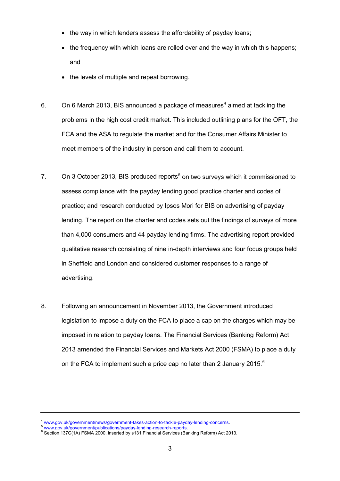- the way in which lenders assess the affordability of payday loans;
- the frequency with which loans are rolled over and the way in which this happens; and
- the levels of multiple and repeat borrowing.
- 6. On 6 March 2013, BIS announced a package of measures<sup>[4](#page-1-2)</sup> aimed at tackling the problems in the high cost credit market. This included outlining plans for the OFT, the FCA and the ASA to regulate the market and for the Consumer Affairs Minister to meet members of the industry in person and call them to account.
- 7. On 3 October 2013, BIS produced reports<sup>[5](#page-2-0)</sup> on two surveys which it commissioned to assess compliance with the payday lending good practice charter and codes of practice; and research conducted by Ipsos Mori for BIS on advertising of payday lending. The report on the charter and codes sets out the findings of surveys of more than 4,000 consumers and 44 payday lending firms. The advertising report provided qualitative research consisting of nine in-depth interviews and four focus groups held in Sheffield and London and considered customer responses to a range of advertising.
- 8. Following an announcement in November 2013, the Government introduced legislation to impose a duty on the FCA to place a cap on the charges which may be imposed in relation to payday loans. The Financial Services (Banking Reform) Act 2013 amended the Financial Services and Markets Act 2000 (FSMA) to place a duty on the FCA to implement such a price cap no later than 2 January 2015.<sup>[6](#page-2-1)</sup>

<sup>&</sup>lt;sup>4</sup> www.gov.uk/government/news/government-takes-action-to-tackle-payday-lending-concerns.<br><sup>5</sup> [www.gov.uk/government/publications/payday-lending-research-reports.](http://www.gov.uk/government/publications/payday-lending-research-reports)<br><sup>6</sup> Section 137C(1A) FSMA 2000, inserted by s131 Financial S

<span id="page-2-1"></span><span id="page-2-0"></span>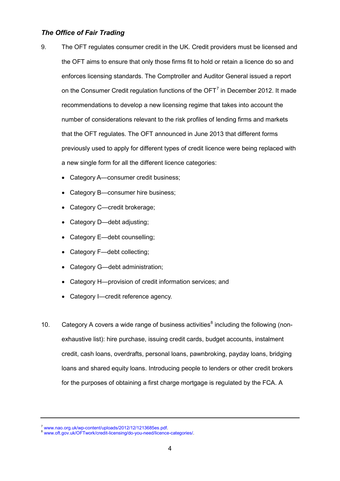# *The Office of Fair Trading*

- 9. The OFT regulates consumer credit in the UK. Credit providers must be licensed and the OFT aims to ensure that only those firms fit to hold or retain a licence do so and enforces licensing standards. The Comptroller and Auditor General issued a report on the Consumer Credit regulation functions of the  $\text{OFT}^7$  $\text{OFT}^7$  in December 2012. It made recommendations to develop a new licensing regime that takes into account the number of considerations relevant to the risk profiles of lending firms and markets that the OFT regulates. The OFT announced in June 2013 that different forms previously used to apply for different types of credit licence were being replaced with a new single form for all the different licence categories:
	- Category A—consumer credit business;
	- Category B—consumer hire business;
	- Category C—credit brokerage;
	- Category D—debt adjusting;
	- Category E-debt counselling;
	- Category F-debt collecting;
	- Category G—debt administration;
	- Category H—provision of credit information services; and
	- Category I—credit reference agency.
- 10. Category A covers a wide range of business activities<sup>[8](#page-3-0)</sup> including the following (nonexhaustive list): hire purchase, issuing credit cards, budget accounts, instalment credit, cash loans, overdrafts, personal loans, pawnbroking, payday loans, bridging loans and shared equity loans. Introducing people to lenders or other credit brokers for the purposes of obtaining a first charge mortgage is regulated by the FCA. A

<span id="page-3-1"></span><span id="page-3-0"></span><sup>&</sup>lt;sup>7</sup> [www.nao.org.uk/wp-content/uploads/2012/12/1213685es.pdf.](http://www.nao.org.uk/wp-content/uploads/2012/12/1213685es.pdf)<br><sup>8</sup> [www.oft.gov.uk/OFTwork/credit-licensing/do-you-need/licence-categories/.](http://www.oft.gov.uk/OFTwork/credit-licensing/do-you-need/licence-categories/)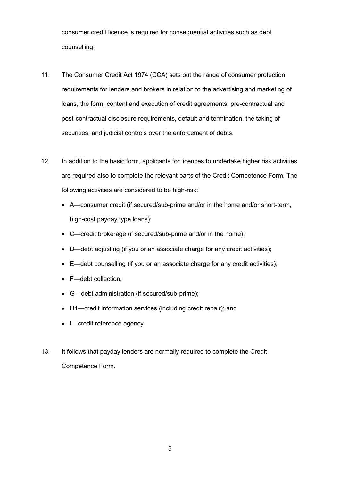consumer credit licence is required for consequential activities such as debt counselling.

- 11. The Consumer Credit Act 1974 (CCA) sets out the range of consumer protection requirements for lenders and brokers in relation to the advertising and marketing of loans, the form, content and execution of credit agreements, pre-contractual and post-contractual disclosure requirements, default and termination, the taking of securities, and judicial controls over the enforcement of debts.
- 12. In addition to the basic form, applicants for licences to undertake higher risk activities are required also to complete the relevant parts of the Credit Competence Form. The following activities are considered to be high-risk:
	- A—consumer credit (if secured/sub-prime and/or in the home and/or short-term, high-cost payday type loans);
	- C—credit brokerage (if secured/sub-prime and/or in the home);
	- D—debt adjusting (if you or an associate charge for any credit activities);
	- E—debt counselling (if you or an associate charge for any credit activities);
	- F—debt collection;
	- G—debt administration (if secured/sub-prime);
	- H1—credit information services (including credit repair); and
	- I—credit reference agency.
- 13. It follows that payday lenders are normally required to complete the Credit Competence Form.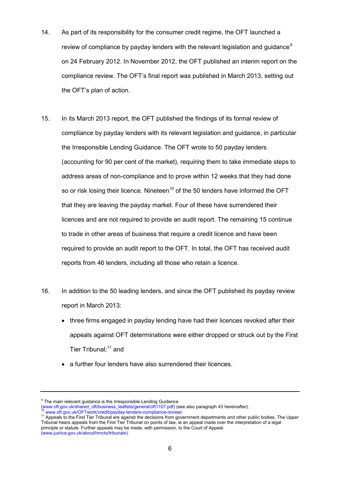- 14. As part of its responsibility for the consumer credit regime, the OFT launched a review of compliance by payday lenders with the relevant legislation and guidance<sup>[9](#page-3-1)</sup> on 24 February 2012. In November 2012, the OFT published an interim report on the compliance review. The OFT's final report was published in March 2013, setting out the OFT's plan of action.
- 15. In its March 2013 report, the OFT published the findings of its formal review of compliance by payday lenders with its relevant legislation and guidance, in particular the Irresponsible Lending Guidance. The OFT wrote to 50 payday lenders (accounting for 90 per cent of the market), requiring them to take immediate steps to address areas of non-compliance and to prove within 12 weeks that they had done so or risk losing their licence. Nineteen<sup>[10](#page-5-0)</sup> of the 50 lenders have informed the OFT that they are leaving the payday market. Four of these have surrendered their licences and are not required to provide an audit report. The remaining 15 continue to trade in other areas of business that require a credit licence and have been required to provide an audit report to the OFT. In total, the OFT has received audit reports from 46 lenders, including all those who retain a licence.
- 16. In addition to the 50 leading lenders, and since the OFT published its payday review report in March 2013:
	- three firms engaged in payday lending have had their licences revoked after their appeals against OFT determinations were either dropped or struck out by the First Tier Tribunal; [11](#page-5-1) and
	- a further four lenders have also surrendered their licences.

 $9$  The main relevant guidance is the Irresponsible Lending Guidance

<span id="page-5-1"></span><span id="page-5-0"></span>

<span id="page-5-2"></span>www.oft.gov.uk/shared\_oft/business\_leaflets/general/oft1107.pdf) (see also paragraph 43 hereinafter).<br><sup>10</sup> [www.oft.gov.uk/OFTwork/credit/payday-lenders-compliance-review/.](http://www.oft.gov.uk/OFTwork/credit/payday-lenders-compliance-review/)<br><sup>10</sup> www.oft.gov.uk/OFTwork/credit/payday-lenders-Tribunal hears appeals from the First Tier Tribunal on points of law, ie an appeal made over the interpretation of a legal principle or statute. Further appeals may be made, with permission, to the Court of Appeal. [\(www.justice.gov.uk/about/hmcts/tribunals\)](http://www.justice.gov.uk/about/hmcts/tribunals).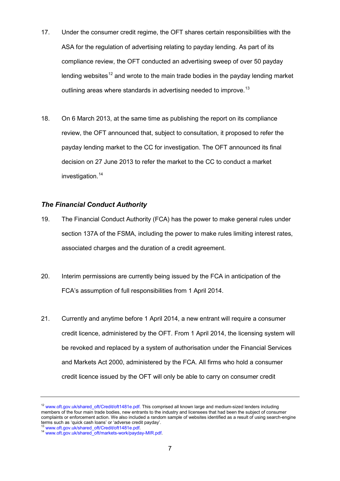- 17. Under the consumer credit regime, the OFT shares certain responsibilities with the ASA for the regulation of advertising relating to payday lending. As part of its compliance review, the OFT conducted an advertising sweep of over 50 payday lending websites<sup>[12](#page-5-2)</sup> and wrote to the main trade bodies in the payday lending market outlining areas where standards in advertising needed to improve.<sup>[13](#page-6-0)</sup>
- 18. On 6 March 2013, at the same time as publishing the report on its compliance review, the OFT announced that, subject to consultation, it proposed to refer the payday lending market to the CC for investigation. The OFT announced its final decision on 27 June 2013 to refer the market to the CC to conduct a market investigation.<sup>[14](#page-6-1)</sup>

#### *The Financial Conduct Authority*

- 19. The Financial Conduct Authority (FCA) has the power to make general rules under section 137A of the FSMA, including the power to make rules limiting interest rates, associated charges and the duration of a credit agreement.
- 20. Interim permissions are currently being issued by the FCA in anticipation of the FCA's assumption of full responsibilities from 1 April 2014.
- 21. Currently and anytime before 1 April 2014, a new entrant will require a consumer credit licence, administered by the OFT. From 1 April 2014, the licensing system will be revoked and replaced by a system of authorisation under the Financial Services and Markets Act 2000, administered by the FCA. All firms who hold a consumer credit licence issued by the OFT will only be able to carry on consumer credit

<sup>&</sup>lt;sup>12</sup> [www.oft.gov.uk/shared\\_oft/Credit/oft1481e.pdf.](http://www.oft.gov.uk/shared_oft/Credit/oft1481e.pdf) This comprised all known large and medium-sized lenders including members of the four main trade bodies, new entrants to the industry and licensees that had been the subject of consumer complaints or enforcement action. We also included a random sample of websites identified as a result of using search-engine terms such as 'quick cash loans' or 'adverse credit payday'.<br><sup>13</sup> www.oft.gov.uk/shared\_oft/Credit/oft1481e.pdf.

<span id="page-6-1"></span><span id="page-6-0"></span>

<sup>&</sup>lt;sup>14</sup> [www.oft.gov.uk/shared\\_oft/markets-work/payday-MIR.pdf.](http://www.oft.gov.uk/shared_oft/markets-work/payday-MIR.pdf)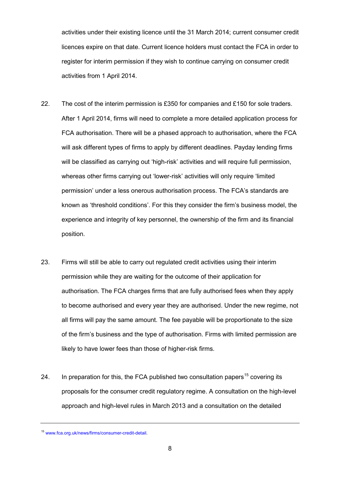activities under their existing licence until the 31 March 2014; current consumer credit licences expire on that date. Current licence holders must contact the FCA in order to register for interim permission if they wish to continue carrying on consumer credit activities from 1 April 2014.

- 22. The cost of the interim permission is £350 for companies and £150 for sole traders. After 1 April 2014, firms will need to complete a more detailed application process for FCA authorisation. There will be a phased approach to authorisation, where the FCA will ask different types of firms to apply by different deadlines. Payday lending firms will be classified as carrying out 'high-risk' activities and will require full permission, whereas other firms carrying out 'lower-risk' activities will only require 'limited permission' under a less onerous authorisation process. The FCA's standards are known as 'threshold conditions'. For this they consider the firm's business model, the experience and integrity of key personnel, the ownership of the firm and its financial position.
- 23. Firms will still be able to carry out regulated credit activities using their interim permission while they are waiting for the outcome of their application for authorisation. The FCA charges firms that are fully authorised fees when they apply to become authorised and every year they are authorised. Under the new regime, not all firms will pay the same amount. The fee payable will be proportionate to the size of the firm's business and the type of authorisation. Firms with limited permission are likely to have lower fees than those of higher-risk firms.
- 24. In preparation for this, the FCA published two consultation papers<sup>[15](#page-6-1)</sup> covering its proposals for the consumer credit regulatory regime. A consultation on the high-level approach and high-level rules in March 2013 and a consultation on the detailed

<span id="page-7-0"></span><sup>15</sup> [www.fca.org.uk/news/firms/consumer-credit-detail.](http://www.fca.org.uk/news/firms/consumer-credit-detail)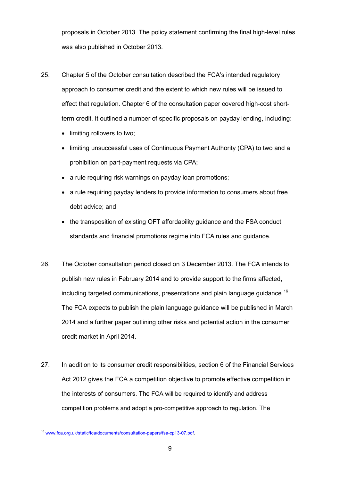proposals in October 2013. The policy statement confirming the final high-level rules was also published in October 2013.

- 25. Chapter 5 of the October consultation described the FCA's intended regulatory approach to consumer credit and the extent to which new rules will be issued to effect that regulation. Chapter 6 of the consultation paper covered high-cost shortterm credit. It outlined a number of specific proposals on payday lending, including:
	- limiting rollovers to two;
	- limiting unsuccessful uses of Continuous Payment Authority (CPA) to two and a prohibition on part-payment requests via CPA;
	- a rule requiring risk warnings on payday loan promotions;
	- a rule requiring payday lenders to provide information to consumers about free debt advice; and
	- the transposition of existing OFT affordability guidance and the FSA conduct standards and financial promotions regime into FCA rules and guidance.
- 26. The October consultation period closed on 3 December 2013. The FCA intends to publish new rules in February 2014 and to provide support to the firms affected, including targeted communications, presentations and plain language guidance.<sup>[16](#page-7-0)</sup> The FCA expects to publish the plain language guidance will be published in March 2014 and a further paper outlining other risks and potential action in the consumer credit market in April 2014.
- <span id="page-8-0"></span>27. In addition to its consumer credit responsibilities, section 6 of the Financial Services Act 2012 gives the FCA a competition objective to promote effective competition in the interests of consumers. The FCA will be required to identify and address competition problems and adopt a pro-competitive approach to regulation. The

<span id="page-8-1"></span><sup>16</sup> [www.fca.org.uk/static/fca/documents/consultation-papers/fsa-cp13-07.pdf.](http://www.fca.org.uk/static/fca/documents/consultation-papers/fsa-cp13-07.pdf)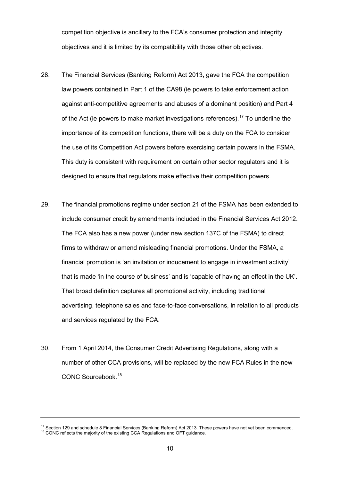competition objective is ancillary to the FCA's consumer protection and integrity objectives and it is limited by its compatibility with those other objectives.

- 28. The Financial Services (Banking Reform) Act 2013, gave the FCA the competition law powers contained in Part 1 of the CA98 (ie powers to take enforcement action against anti-competitive agreements and abuses of a dominant position) and Part 4 of the Act (ie powers to make market investigations references).<sup>[17](#page-8-1)</sup> To underline the importance of its competition functions, there will be a duty on the FCA to consider the use of its Competition Act powers before exercising certain powers in the FSMA. This duty is consistent with requirement on certain other sector regulators and it is designed to ensure that regulators make effective their competition powers.
- 29. The financial promotions regime under section 21 of the FSMA has been extended to include consumer credit by amendments included in the Financial Services Act 2012. The FCA also has a new power (under new section 137C of the FSMA) to direct firms to withdraw or amend misleading financial promotions. Under the FSMA, a financial promotion is 'an invitation or inducement to engage in investment activity' that is made 'in the course of business' and is 'capable of having an effect in the UK'. That broad definition captures all promotional activity, including traditional advertising, telephone sales and face-to-face conversations, in relation to all products and services regulated by the FCA.
- 30. From 1 April 2014, the Consumer Credit Advertising Regulations, along with a number of other CCA provisions, will be replaced by the new FCA Rules in the new CONC Sourcebook. [18](#page-9-0)

<span id="page-9-1"></span><span id="page-9-0"></span><sup>&</sup>lt;sup>17</sup> Section 129 and schedule 8 Financial Services (Banking Reform) Act 2013. These powers have not yet been commenced. <sup>18</sup> CONC reflects the majority of the existing CCA Regulations and OFT guidance.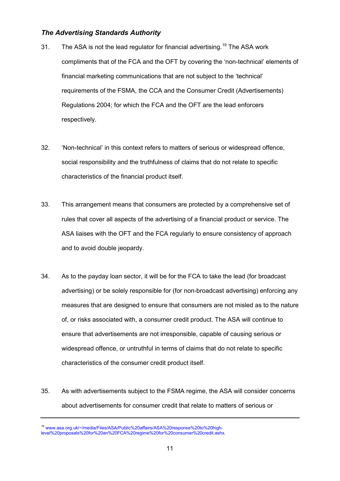# *The Advertising Standards Authority*

- 31. The ASA is not the lead regulator for financial advertising.<sup>[19](#page-9-1)</sup> The ASA work compliments that of the FCA and the OFT by covering the 'non-technical' elements of financial marketing communications that are not subject to the 'technical' requirements of the FSMA, the CCA and the Consumer Credit (Advertisements) Regulations 2004; for which the FCA and the OFT are the lead enforcers respectively.
- 32. 'Non-technical' in this context refers to matters of serious or widespread offence, social responsibility and the truthfulness of claims that do not relate to specific characteristics of the financial product itself.
- 33. This arrangement means that consumers are protected by a comprehensive set of rules that cover all aspects of the advertising of a financial product or service. The ASA liaises with the OFT and the FCA regularly to ensure consistency of approach and to avoid double jeopardy.
- 34. As to the payday loan sector, it will be for the FCA to take the lead (for broadcast advertising) or be solely responsible for (for non-broadcast advertising) enforcing any measures that are designed to ensure that consumers are not misled as to the nature of, or risks associated with, a consumer credit product. The ASA will continue to ensure that advertisements are not irresponsible, capable of causing serious or widespread offence, or untruthful in terms of claims that do not relate to specific characteristics of the consumer credit product itself.
- <span id="page-10-0"></span>35. As with advertisements subject to the FSMA regime, the ASA will consider concerns about advertisements for consumer credit that relate to matters of serious or

<sup>19</sup> [www.asa.org.uk/~/media/Files/ASA/Public%20affairs/ASA%20response%20to%20high](http://www.asa.org.uk/~/media/Files/ASA/Public%20affairs/ASA%20response%20to%20high-level%20proposals%20for%20an%20FCA%20regime%20for%20consumer%20credit.ashx)[level%20proposals%20for%20an%20FCA%20regime%20for%20consumer%20credit.ashx.](http://www.asa.org.uk/~/media/Files/ASA/Public%20affairs/ASA%20response%20to%20high-level%20proposals%20for%20an%20FCA%20regime%20for%20consumer%20credit.ashx)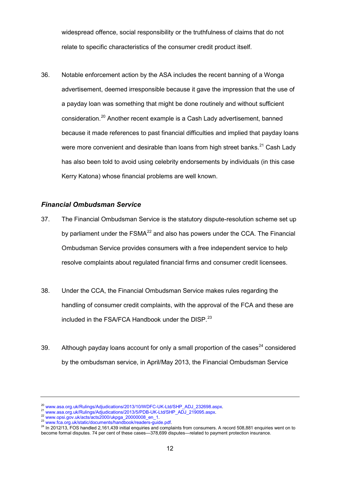widespread offence, social responsibility or the truthfulness of claims that do not relate to specific characteristics of the consumer credit product itself.

36. Notable enforcement action by the ASA includes the recent banning of a Wonga advertisement, deemed irresponsible because it gave the impression that the use of a payday loan was something that might be done routinely and without sufficient consideration.[20](#page-10-0) Another recent example is a Cash Lady advertisement, banned because it made references to past financial difficulties and implied that payday loans were more convenient and desirable than loans from high street banks.<sup>[21](#page-11-0)</sup> Cash Lady has also been told to avoid using celebrity endorsements by individuals (in this case Kerry Katona) whose financial problems are well known.

#### *Financial Ombudsman Service*

- 37. The Financial Ombudsman Service is the statutory dispute-resolution scheme set up by parliament under the  $FSMA^{22}$  $FSMA^{22}$  $FSMA^{22}$  and also has powers under the CCA. The Financial Ombudsman Service provides consumers with a free independent service to help resolve complaints about regulated financial firms and consumer credit licensees.
- 38. Under the CCA, the Financial Ombudsman Service makes rules regarding the handling of consumer credit complaints, with the approval of the FCA and these are included in the FSA/FCA Handbook under the DISP.<sup>[23](#page-11-2)</sup>
- 39. Although payday loans account for only a small proportion of the cases<sup>[24](#page-11-3)</sup> considered by the ombudsman service, in April/May 2013, the Financial Ombudsman Service

<span id="page-11-0"></span>

<span id="page-11-1"></span>

<span id="page-11-3"></span><span id="page-11-2"></span>

<sup>&</sup>lt;sup>20</sup> [www.asa.org.uk/Rulings/Adjudications/2013/10/WDFC-UK-Ltd/SHP\\_ADJ\\_232698.aspx.](http://www.asa.org.uk/Rulings/Adjudications/2013/10/WDFC-UK-Ltd/SHP_ADJ_232698.aspx)<br>
<sup>21</sup> [www.asa.org.uk/Rulings/Adjudications/2013/5/PDB-UK-Ltd/SHP\\_ADJ\\_219095.aspx.](http://www.asa.org.uk/Rulings/Adjudications/2013/5/PDB-UK-Ltd/SHP_ADJ_219095.aspx)<br>
<sup>22</sup> [www.opsi.gov.uk/acts/acts2000/ukpga\\_20000008\\_en\\_1.](http://www.opsi.gov.uk/acts/acts2000/ukpga_20000008_en_1) become formal disputes. 74 per cent of these cases—378,699 disputes—related to payment protection insurance.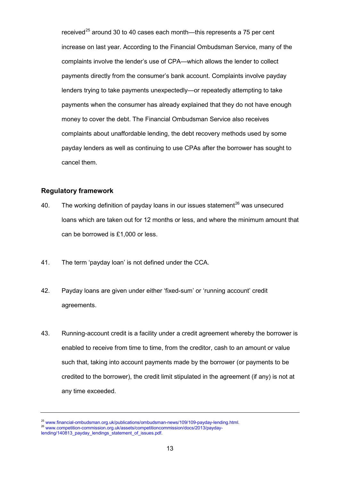received<sup>[25](#page-11-2)</sup> around 30 to 40 cases each month—this represents a 75 per cent increase on last year. According to the Financial Ombudsman Service, many of the complaints involve the lender's use of CPA—which allows the lender to collect payments directly from the consumer's bank account. Complaints involve payday lenders trying to take payments unexpectedly—or repeatedly attempting to take payments when the consumer has already explained that they do not have enough money to cover the debt. The Financial Ombudsman Service also receives complaints about unaffordable lending, the debt recovery methods used by some payday lenders as well as continuing to use CPAs after the borrower has sought to cancel them.

### **Regulatory framework**

- 40. The working definition of payday loans in our issues statement $^{26}$  $^{26}$  $^{26}$  was unsecured loans which are taken out for 12 months or less, and where the minimum amount that can be borrowed is £1,000 or less.
- 41. The term 'payday loan' is not defined under the CCA.
- 42. Payday loans are given under either 'fixed-sum' or 'running account' credit agreements.
- 43. Running-account credit is a facility under a credit agreement whereby the borrower is enabled to receive from time to time, from the creditor, cash to an amount or value such that, taking into account payments made by the borrower (or payments to be credited to the borrower), the credit limit stipulated in the agreement (if any) is not at any time exceeded.

<span id="page-12-1"></span><sup>&</sup>lt;sup>25</sup> [www.financial-ombudsman.org.uk/publications/ombudsman-news/109/109-payday-lending.html.](http://www.financial-ombudsman.org.uk/publications/ombudsman-news/109/109-payday-lending.html)<br><sup>26</sup> [www.competition-commission.org.uk/assets/competitioncommission/docs/2013/payday-](http://www.competition-commission.org.uk/assets/competitioncommission/docs/2013/payday-lending/140813_payday_lendings_statement_of_issues.pdf)

<span id="page-12-0"></span>[lending/140813\\_payday\\_lendings\\_statement\\_of\\_issues.pdf.](http://www.competition-commission.org.uk/assets/competitioncommission/docs/2013/payday-lending/140813_payday_lendings_statement_of_issues.pdf)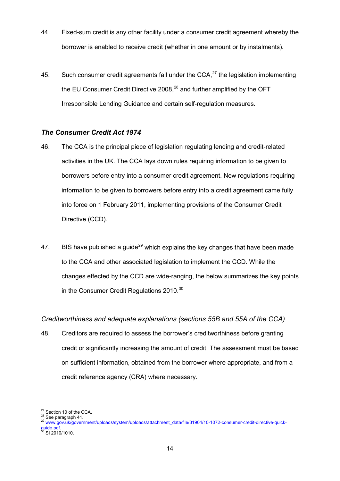- 44. Fixed-sum credit is any other facility under a consumer credit agreement whereby the borrower is enabled to receive credit (whether in one amount or by instalments).
- 45. Such consumer credit agreements fall under the CCA. $^{27}$  $^{27}$  $^{27}$  the legislation implementing the EU Consumer Credit Directive 2008,<sup>[28](#page-13-0)</sup> and further amplified by the OFT Irresponsible Lending Guidance and certain self-regulation measures.

## *The Consumer Credit Act 1974*

- 46. The CCA is the principal piece of legislation regulating lending and credit-related activities in the UK. The CCA lays down rules requiring information to be given to borrowers before entry into a consumer credit agreement. New regulations requiring information to be given to borrowers before entry into a credit agreement came fully into force on 1 February 2011, implementing provisions of the Consumer Credit Directive (CCD).
- 47. BIS have published a quide<sup>[29](#page-13-1)</sup> which explains the key changes that have been made to the CCA and other associated legislation to implement the CCD. While the changes effected by the CCD are wide-ranging, the below summarizes the key points in the Consumer Credit Regulations 2010.<sup>[30](#page-13-2)</sup>

# *Creditworthiness and adequate explanations (sections 55B and 55A of the CCA)*

48. Creditors are required to assess the borrower's creditworthiness before granting credit or significantly increasing the amount of credit. The assessment must be based on sufficient information, obtained from the borrower where appropriate, and from a credit reference agency (CRA) where necessary.

<span id="page-13-1"></span><span id="page-13-0"></span>

<sup>&</sup>lt;sup>27</sup> Section 10 of the CCA.<br><sup>28</sup> See paragraph 41.<br><sup>29</sup> www.gov.uk/government/uploads/system/uploads/attachment\_data/file/31904/10-1072-consumer-credit-directive-quick-<br>guide.pdf.

<span id="page-13-2"></span>SI 2010/1010.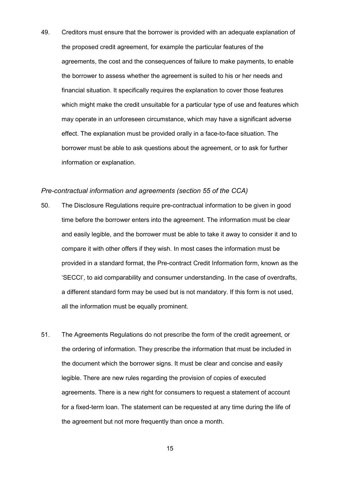49. Creditors must ensure that the borrower is provided with an adequate explanation of the proposed credit agreement, for example the particular features of the agreements, the cost and the consequences of failure to make payments, to enable the borrower to assess whether the agreement is suited to his or her needs and financial situation. It specifically requires the explanation to cover those features which might make the credit unsuitable for a particular type of use and features which may operate in an unforeseen circumstance, which may have a significant adverse effect. The explanation must be provided orally in a face-to-face situation. The borrower must be able to ask questions about the agreement, or to ask for further information or explanation.

#### *Pre-contractual information and agreements (section 55 of the CCA)*

- 50. The Disclosure Regulations require pre-contractual information to be given in good time before the borrower enters into the agreement. The information must be clear and easily legible, and the borrower must be able to take it away to consider it and to compare it with other offers if they wish. In most cases the information must be provided in a standard format, the Pre-contract Credit Information form, known as the 'SECCI', to aid comparability and consumer understanding. In the case of overdrafts, a different standard form may be used but is not mandatory. If this form is not used, all the information must be equally prominent.
- 51. The Agreements Regulations do not prescribe the form of the credit agreement, or the ordering of information. They prescribe the information that must be included in the document which the borrower signs. It must be clear and concise and easily legible. There are new rules regarding the provision of copies of executed agreements. There is a new right for consumers to request a statement of account for a fixed-term loan. The statement can be requested at any time during the life of the agreement but not more frequently than once a month.

15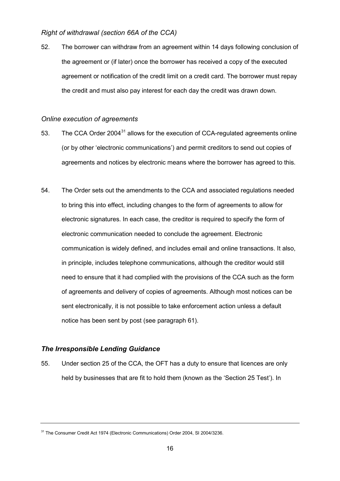## *Right of withdrawal (section 66A of the CCA)*

52. The borrower can withdraw from an agreement within 14 days following conclusion of the agreement or (if later) once the borrower has received a copy of the executed agreement or notification of the credit limit on a credit card. The borrower must repay the credit and must also pay interest for each day the credit was drawn down.

### *Online execution of agreements*

- 53. The CCA Order 2004<sup>[31](#page-13-2)</sup> allows for the execution of CCA-regulated agreements online (or by other 'electronic communications') and permit creditors to send out copies of agreements and notices by electronic means where the borrower has agreed to this.
- 54. The Order sets out the amendments to the CCA and associated regulations needed to bring this into effect, including changes to the form of agreements to allow for electronic signatures. In each case, the creditor is required to specify the form of electronic communication needed to conclude the agreement. Electronic communication is widely defined, and includes email and online transactions. It also, in principle, includes telephone communications, although the creditor would still need to ensure that it had complied with the provisions of the CCA such as the form of agreements and delivery of copies of agreements. Although most notices can be sent electronically, it is not possible to take enforcement action unless a default notice has been sent by post (see paragraph 61).

# *The Irresponsible Lending Guidance*

55. Under section 25 of the CCA, the OFT has a duty to ensure that licences are only held by businesses that are fit to hold them (known as the 'Section 25 Test'). In

<span id="page-15-0"></span><sup>&</sup>lt;sup>31</sup> The Consumer Credit Act 1974 (Electronic Communications) Order 2004, SI 2004/3236.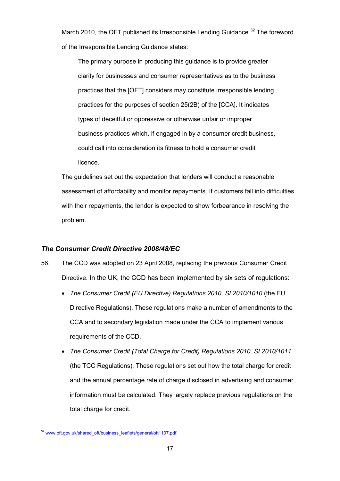March 2010, the OFT published its Irresponsible Lending Guidance.<sup>[32](#page-15-0)</sup> The foreword of the Irresponsible Lending Guidance states:

The primary purpose in producing this guidance is to provide greater clarity for businesses and consumer representatives as to the business practices that the [OFT] considers may constitute irresponsible lending practices for the purposes of section 25(2B) of the [CCA]. It indicates types of deceitful or oppressive or otherwise unfair or improper business practices which, if engaged in by a consumer credit business, could call into consideration its fitness to hold a consumer credit licence.

The guidelines set out the expectation that lenders will conduct a reasonable assessment of affordability and monitor repayments. If customers fall into difficulties with their repayments, the lender is expected to show forbearance in resolving the problem.

# *The Consumer Credit Directive 2008/48/EC*

- 56. The CCD was adopted on 23 April 2008, replacing the previous Consumer Credit Directive. In the UK, the CCD has been implemented by six sets of regulations:
	- *The Consumer Credit (EU Directive) Regulations 2010, SI 2010/1010* (the EU Directive Regulations). These regulations make a number of amendments to the CCA and to secondary legislation made under the CCA to implement various requirements of the CCD.
	- *The Consumer Credit (Total Charge for Credit) Regulations 2010, SI 2010/1011*  (the TCC Regulations)*.* These regulations set out how the total charge for credit and the annual percentage rate of charge disclosed in advertising and consumer information must be calculated. They largely replace previous regulations on the total charge for credit.

<span id="page-16-0"></span><sup>&</sup>lt;sup>32</sup> [www.oft.gov.uk/shared\\_oft/business\\_leaflets/general/oft1107.pdf.](http://www.oft.gov.uk/shared_oft/business_leaflets/general/oft1107.pdf)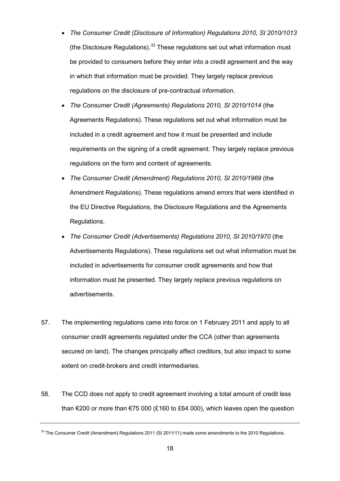- *The Consumer Credit (Disclosure of Information) Regulations 2010, SI 2010/1013*  (the Disclosure Regulations). $33$  These regulations set out what information must be provided to consumers before they enter into a credit agreement and the way in which that information must be provided. They largely replace previous regulations on the disclosure of pre-contractual information.
- *The Consumer Credit (Agreements) Regulations 2010, SI 2010/1014* (the Agreements Regulations). These regulations set out what information must be included in a credit agreement and how it must be presented and include requirements on the signing of a credit agreement. They largely replace previous regulations on the form and content of agreements.
- *The Consumer Credit (Amendment) Regulations 2010, SI 2010/1969* (the Amendment Regulations). These regulations amend errors that were identified in the EU Directive Regulations, the Disclosure Regulations and the Agreements Regulations.
- *The Consumer Credit (Advertisements) Regulations 2010, SI 2010/1970* (the Advertisements Regulations). These regulations set out what information must be included in advertisements for consumer credit agreements and how that information must be presented. They largely replace previous regulations on advertisements.
- 57. The implementing regulations came into force on 1 February 2011 and apply to all consumer credit agreements regulated under the CCA (other than agreements secured on land). The changes principally affect creditors, but also impact to some extent on credit-brokers and credit intermediaries.
- 58. The CCD does not apply to credit agreement involving a total amount of credit less than €200 or more than €75 000 (£160 to £64 000), which leaves open the question

<span id="page-17-0"></span> $33$  The Consumer Credit (Amendment) Regulations 2011 (SI 2011/11) made some amendments to the 2010 Regulations.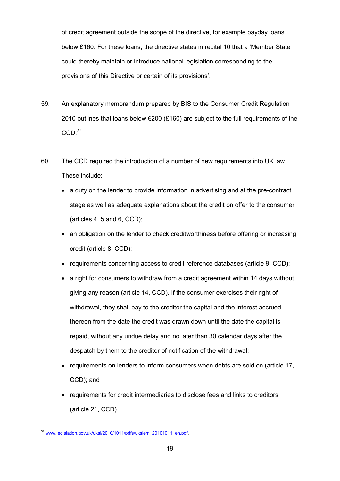of credit agreement outside the scope of the directive, for example payday loans below £160. For these loans, the directive states in recital 10 that a 'Member State could thereby maintain or introduce national legislation corresponding to the provisions of this Directive or certain of its provisions'.

- 59. An explanatory memorandum prepared by BIS to the Consumer Credit Regulation 2010 outlines that loans below  $\epsilon$ 200 (£160) are subject to the full requirements of the CCD. [34](#page-17-0)
- 60. The [CCD](http://eur-lex.europa.eu/LexUriServ/LexUriServ.do?uri=OJ:L:2008:133:0066:0092:EN:PDF) required the introduction of a number of new requirements into UK law. These include:
	- a duty on the lender to provide information in advertising and at the pre-contract stage as well as adequate explanations about the credit on offer to the consumer (articles 4, 5 and 6, CCD);
	- an obligation on the lender to check creditworthiness before offering or increasing credit (article 8, CCD);
	- requirements concerning access to credit reference databases (article 9, CCD);
	- a right for consumers to withdraw from a credit agreement within 14 days without giving any reason (article 14, CCD). If the consumer exercises their right of withdrawal, they shall pay to the creditor the capital and the interest accrued thereon from the date the credit was drawn down until the date the capital is repaid, without any undue delay and no later than 30 calendar days after the despatch by them to the creditor of notification of the withdrawal;
	- requirements on lenders to inform consumers when debts are sold on (article 17, CCD); and
	- requirements for credit intermediaries to disclose fees and links to creditors (article 21, CCD).

<span id="page-18-0"></span><sup>&</sup>lt;sup>34</sup> [www.legislation.gov.uk/uksi/2010/1011/pdfs/uksiem\\_20101011\\_en.pdf.](http://www.legislation.gov.uk/uksi/2010/1011/pdfs/uksiem_20101011_en.pdf)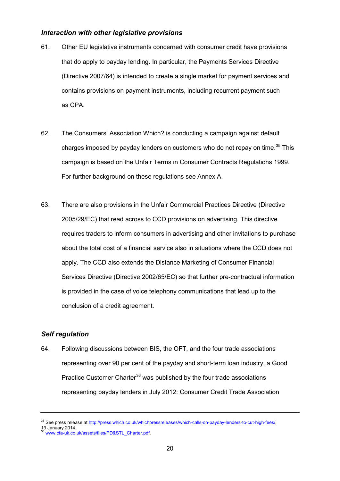#### *Interaction with other legislative provisions*

- 61. Other EU legislative instruments concerned with consumer credit have provisions that do apply to payday lending. In particular, the Payments Services Directive (Directive 2007/64) is intended to create a single market for payment services and contains provisions on payment instruments, including recurrent payment such as CPA.
- 62. The Consumers' Association Which? is conducting a campaign against default charges imposed by payday lenders on customers who do not repay on time. [35](#page-18-0) This campaign is based on the Unfair Terms in Consumer Contracts Regulations 1999. For further background on these regulations see Annex A.
- 63. There are also provisions in the Unfair Commercial Practices Directive (Directive 2005/29/EC) that read across to CCD provisions on advertising. This directive requires traders to inform consumers in advertising and other invitations to purchase about the total cost of a financial service also in situations where the CCD does not apply. The CCD also extends the Distance Marketing of Consumer Financial Services Directive (Directive 2002/65/EC) so that further pre-contractual information is provided in the case of voice telephony communications that lead up to the conclusion of a credit agreement.

# *Self regulation*

64. Following discussions between BIS, the OFT, and the four trade associations representing over 90 per cent of the payday and short-term loan industry, a Good Practice Customer Charter<sup>[36](#page-19-0)</sup> was published by the four trade associations representing payday lenders in July 2012: Consumer Credit Trade Association

<span id="page-19-1"></span><sup>&</sup>lt;sup>35</sup> See press release a[t http://press.which.co.uk/whichpressreleases/which-calls-on-payday-lenders-to-cut-high-fees/,](http://press.which.co.uk/whichpressreleases/which-calls-on-payday-lenders-to-cut-high-fees/)<br>13 January 2014.

<span id="page-19-0"></span>

www.cfa-uk.co.uk/assets/files/PD&STL\_Charter.pdf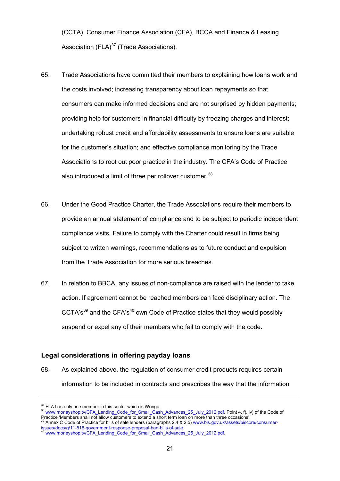(CCTA), Consumer Finance Association (CFA), BCCA and Finance & Leasing Association  $(FLA)^{37}$  $(FLA)^{37}$  $(FLA)^{37}$  (Trade Associations).

- 65. Trade Associations have committed their members to explaining how loans work and the costs involved; increasing transparency about loan repayments so that consumers can make informed decisions and are not surprised by hidden payments; providing help for customers in financial difficulty by freezing charges and interest; undertaking robust credit and affordability assessments to ensure loans are suitable for the customer's situation; and effective compliance monitoring by the Trade Associations to root out poor practice in the industry. The CFA's Code of Practice also introduced a limit of three per rollover customer.<sup>[38](#page-20-0)</sup>
- 66. Under the Good Practice Charter, the Trade Associations require their members to provide an annual statement of compliance and to be subject to periodic independent compliance visits. Failure to comply with the Charter could result in firms being subject to written warnings, recommendations as to future conduct and expulsion from the Trade Association for more serious breaches.
- 67. In relation to BBCA, any issues of non-compliance are raised with the lender to take action. If agreement cannot be reached members can face disciplinary action. The CCTA's<sup>[39](#page-20-1)</sup> and the CFA's<sup>[40](#page-20-2)</sup> own Code of Practice states that they would possibly suspend or expel any of their members who fail to comply with the code.

## **Legal considerations in offering payday loans**

68. As explained above, the regulation of consumer credit products requires certain information to be included in contracts and prescribes the way that the information

<span id="page-20-0"></span>

<span id="page-20-3"></span> $37$  FLA has only one member in this sector which is Wonga.<br> $38$  [www.moneyshop.tv/CFA\\_Lending\\_Code\\_for\\_Small\\_Cash\\_Advances\\_25\\_July\\_2012.pdf.](http://www.moneyshop.tv/CFA_Lending_Code_for_Small_Cash_Advances_25_July_2012.pdf) Point 4, f), iv) of the Code of Practice 'Members shall not allow customers to extend a short term loan on more than three occasions'.<br><sup>39</sup> Annex C Code of Practice for bills of sale lenders (paragraphs 2.4 & 2.5) [www.bis.gov.uk/assets/biscore/consumer-](http://www.bis.gov.uk/assets/biscore/consumer-issues/docs/g/11-516-government-response-proposal-ban-bills-of-sale)

<span id="page-20-1"></span>[issues/docs/g/11-516-government-response-proposal-ban-bills-of-sale.](http://www.bis.gov.uk/assets/biscore/consumer-issues/docs/g/11-516-government-response-proposal-ban-bills-of-sale) <sup>40</sup> [www.moneyshop.tv/CFA\\_Lending\\_Code\\_for\\_Small\\_Cash\\_Advances\\_25\\_July\\_2012.pdf.](http://www.moneyshop.tv/CFA_Lending_Code_for_Small_Cash_Advances_25_July_2012.pdf)

<span id="page-20-2"></span>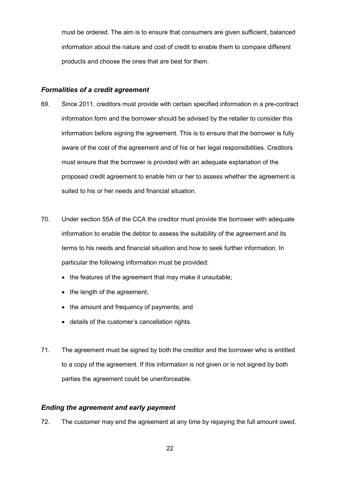must be ordered. The aim is to ensure that consumers are given sufficient, balanced information about the nature and cost of credit to enable them to compare different products and choose the ones that are best for them.

## *Formalities of a credit agreement*

- 69. Since 2011, creditors must provide with certain specified information in a pre-contract information form and the borrower should be advised by the retailer to consider this information before signing the agreement. This is to ensure that the borrower is fully aware of the cost of the agreement and of his or her legal responsibilities. Creditors must ensure that the borrower is provided with an adequate explanation of the proposed credit agreement to enable him or her to assess whether the agreement is suited to his or her needs and financial situation.
- 70. Under section 55A of the CCA the creditor must provide the borrower with adequate information to enable the debtor to assess the suitability of the agreement and its terms to his needs and financial situation and how to seek further information. In particular the following information must be provided:
	- the features of the agreement that may make it unsuitable;
	- the length of the agreement;
	- the amount and frequency of payments; and
	- details of the customer's cancellation rights.
- 71. The agreement must be signed by both the creditor and the borrower who is entitled to a copy of the agreement. If this information is not given or is not signed by both parties the agreement could be unenforceable.

# *Ending the agreement and early payment*

72. The customer may end the agreement at any time by repaying the full amount owed.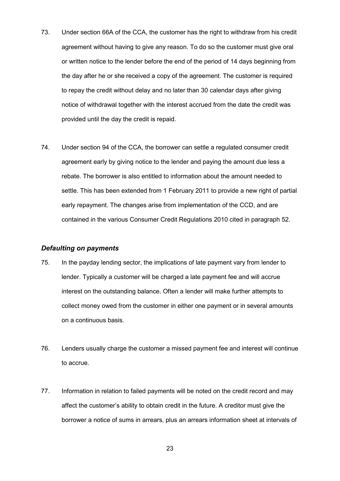- 73. Under section 66A of the CCA, the customer has the right to withdraw from his credit agreement without having to give any reason. To do so the customer must give oral or written notice to the lender before the end of the period of 14 days beginning from the day after he or she received a copy of the agreement. The customer is required to repay the credit without delay and no later than 30 calendar days after giving notice of withdrawal together with the interest accrued from the date the credit was provided until the day the credit is repaid.
- 74. Under section 94 of the CCA, the borrower can settle a regulated consumer credit agreement early by giving notice to the lender and paying the amount due less a rebate. The borrower is also entitled to information about the amount needed to settle. This has been extended from 1 February 2011 to provide a new right of partial early repayment. The changes arise from implementation of the CCD, and are contained in the various [Consumer Credit Regulations 2010](http://www.legislation.gov.uk/all?title=Consumer%20Credit%20%28EU%20Directive%29%20Regulations%202010) cited in paragraph 52.

## *Defaulting on payments*

- 75. In the payday lending sector, the implications of late payment vary from lender to lender. Typically a customer will be charged a late payment fee and will accrue interest on the outstanding balance. Often a lender will make further attempts to collect money owed from the customer in either one payment or in several amounts on a continuous basis.
- 76. Lenders usually charge the customer a missed payment fee and interest will continue to accrue.
- 77. Information in relation to failed payments will be noted on the credit record and may affect the customer's ability to obtain credit in the future. A creditor must give the borrower a notice of sums in arrears, plus an arrears information sheet at intervals of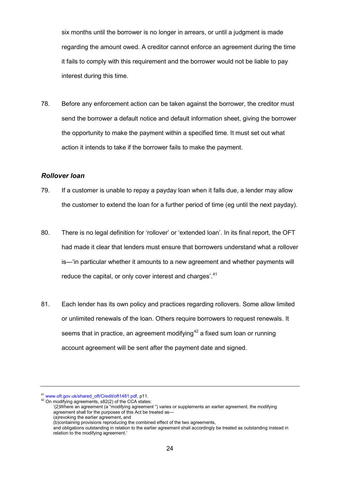six months until the borrower is no longer in arrears, or until a judgment is made regarding the amount owed. A creditor cannot enforce an agreement during the time it fails to comply with this requirement and the borrower would not be liable to pay interest during this time.

78. Before any enforcement action can be taken against the borrower, the creditor must send the borrower a default notice and default information sheet, giving the borrower the opportunity to make the payment within a specified time. It must set out what action it intends to take if the borrower fails to make the payment.

#### *Rollover loan*

- 79. If a customer is unable to repay a payday loan when it falls due, a lender may allow the customer to extend the loan for a further period of time (eg until the next payday).
- 80. There is no legal definition for 'rollover' or 'extended loan'. In its final report, the OFT had made it clear that lenders must ensure that borrowers understand what a rollover is—'in particular whether it amounts to a new agreement and whether payments will reduce the capital, or only cover interest and charges'.<sup>[41](#page-20-3)</sup>
- 81. Each lender has its own policy and practices regarding rollovers. Some allow limited or unlimited renewals of the loan. Others require borrowers to request renewals. It seems that in practice, an agreement modifying<sup>[42](#page-23-0)</sup> a fixed sum loan or running account agreement will be sent after the payment date and signed.

<span id="page-23-0"></span><sup>&</sup>lt;sup>41</sup> [www.oft.gov.uk/shared\\_oft/Credit/oft1481.pdf,](http://www.oft.gov.uk/shared_oft/Credit/oft1481.pdf) p11.<br><sup>42</sup> On modifying agreements, s82(2) of the CCA states:

<sup>&#</sup>x27;(2)Where an agreement (a "modifying agreement ") varies or supplements an earlier agreement, the modifying agreement shall for the purposes of this Act be treated as—

<sup>(</sup>a) revoking the earlier agreement, and

<sup>(</sup>b)containing provisions reproducing the combined effect of the two agreements,

<span id="page-23-1"></span>and obligations outstanding in relation to the earlier agreement shall accordingly be treated as outstanding instead in relation to the modifying agreement.'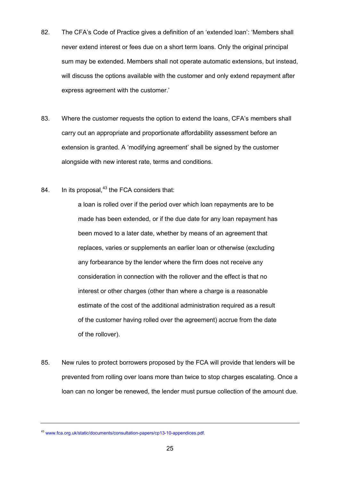- 82. The CFA's Code of Practice gives a definition of an 'extended loan': 'Members shall never extend interest or fees due on a short term loans. Only the original principal sum may be extended. Members shall not operate automatic extensions, but instead, will discuss the options available with the customer and only extend repayment after express agreement with the customer.'
- 83. Where the customer requests the option to extend the loans, CFA's members shall carry out an appropriate and proportionate affordability assessment before an extension is granted. A 'modifying agreement' shall be signed by the customer alongside with new interest rate, terms and conditions.
- 84. In its proposal, $43$  the FCA considers that:

a loan is rolled over if the period over which loan repayments are to be made has been extended, or if the due date for any loan repayment has been moved to a later date, whether by means of an agreement that replaces, varies or supplements an earlier loan or otherwise (excluding any forbearance by the lender where the firm does not receive any consideration in connection with the rollover and the effect is that no interest or other charges (other than where a charge is a reasonable estimate of the cost of the additional administration required as a result of the customer having rolled over the agreement) accrue from the date of the rollover).

85. New rules to protect borrowers proposed by the FCA will provide that lenders will be prevented from rolling over loans more than twice to stop charges escalating. Once a loan can no longer be renewed, the lender must pursue collection of the amount due.

<span id="page-24-0"></span><sup>43</sup> [www.fca.org.uk/static/documents/consultation-papers/cp13-10-appendices.pdf.](http://www.fca.org.uk/static/documents/consultation-papers/cp13-10-appendices.pdf)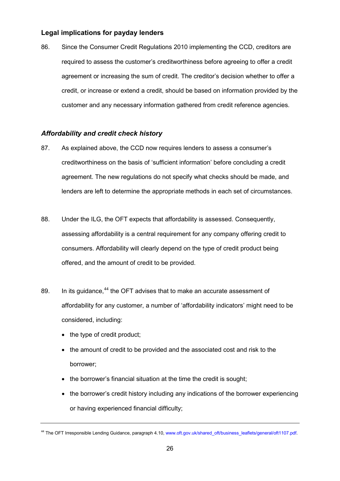# **Legal implications for payday lenders**

86. Since the Consumer Credit Regulations 2010 implementing the CCD, creditors are required to assess the customer's creditworthiness before agreeing to offer a credit agreement or increasing the sum of credit. The creditor's decision whether to offer a credit, or increase or extend a credit, should be based on information provided by the customer and any necessary information gathered from credit reference agencies.

## *Affordability and credit check history*

- 87. As explained above, the CCD now requires lenders to assess a consumer's creditworthiness on the basis of 'sufficient information' before concluding a credit agreement. The new regulations do not specify what checks should be made, and lenders are left to determine the appropriate methods in each set of circumstances.
- 88. Under the ILG, the OFT expects that affordability is assessed. Consequently, assessing affordability is a central requirement for any company offering credit to consumers. Affordability will clearly depend on the type of credit product being offered, and the amount of credit to be provided.
- 89. In its guidance,<sup>[44](#page-24-0)</sup> the OFT advises that to make an accurate assessment of affordability for any customer, a number of 'affordability indicators' might need to be considered, including:
	- the type of credit product;
	- the amount of credit to be provided and the associated cost and risk to the borrower;
	- the borrower's financial situation at the time the credit is sought;
	- the borrower's credit history including any indications of the borrower experiencing or having experienced financial difficulty;

<span id="page-25-0"></span><sup>44</sup> The OFT Irresponsible Lending Guidance, paragraph 4.10, [www.oft.gov.uk/shared\\_oft/business\\_leaflets/general/oft1107.pdf.](http://www.oft.gov.uk/shared_oft/business_leaflets/general/oft1107.pdf)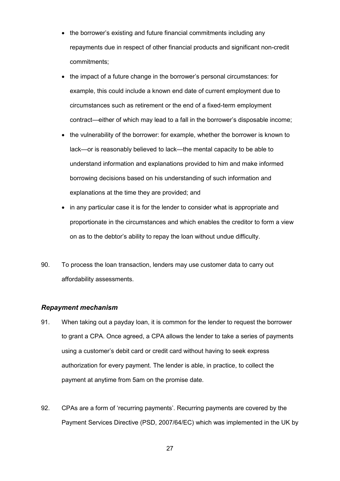- the borrower's existing and future financial commitments including any repayments due in respect of other financial products and significant non-credit commitments;
- the impact of a future change in the borrower's personal circumstances: for example, this could include a known end date of current employment due to circumstances such as retirement or the end of a fixed-term employment contract—either of which may lead to a fall in the borrower's disposable income;
- the vulnerability of the borrower: for example, whether the borrower is known to lack—or is reasonably believed to lack—the mental capacity to be able to understand information and explanations provided to him and make informed borrowing decisions based on his understanding of such information and explanations at the time they are provided; and
- in any particular case it is for the lender to consider what is appropriate and proportionate in the circumstances and which enables the creditor to form a view on as to the debtor's ability to repay the loan without undue difficulty.
- 90. To process the loan transaction, lenders may use customer data to carry out affordability assessments.

#### *Repayment mechanism*

- 91. When taking out a payday loan, it is common for the lender to request the borrower to grant a CPA. Once agreed, a CPA allows the lender to take a series of payments using a customer's debit card or credit card without having to seek express authorization for every payment. The lender is able, in practice, to collect the payment at anytime from 5am on the promise date.
- 92. CPAs are a form of 'recurring payments'. Recurring payments are covered by the Payment Services Directive (PSD, 2007/64/EC) which was implemented in the UK by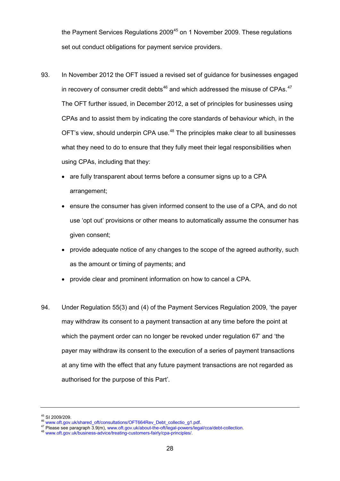the Payment Services Regulations 2009<sup>[45](#page-25-0)</sup> on 1 November 2009. These regulations set out conduct obligations for payment service providers.

- 93. In November 2012 the OFT issued a revised set of guidance for businesses engaged in recovery of consumer credit debts<sup>[46](#page-27-0)</sup> and which addressed the misuse of CPAs.<sup>[47](#page-27-1)</sup> The OFT further issued, in December 2012, a set of principles for businesses using CPAs and to assist them by indicating the core standards of behaviour which, in the OFT's view, should underpin CPA use.<sup>[48](#page-27-2)</sup> The principles make clear to all businesses what they need to do to ensure that they fully meet their legal responsibilities when using CPAs, including that they:
	- are fully transparent about terms before a consumer signs up to a CPA arrangement;
	- ensure the consumer has given informed consent to the use of a CPA, and do not use 'opt out' provisions or other means to automatically assume the consumer has given consent;
	- provide adequate notice of any changes to the scope of the agreed authority, such as the amount or timing of payments; and
	- provide clear and prominent information on how to cancel a CPA.
- 94. Under Regulation 55(3) and (4) of the Payment Services Regulation 2009, 'the payer may withdraw its consent to a payment transaction at any time before the point at which the payment order can no longer be revoked under regulation 67' and 'the payer may withdraw its consent to the execution of a series of payment transactions at any time with the effect that any future payment transactions are not regarded as authorised for the purpose of this Part'.

<span id="page-27-3"></span><span id="page-27-0"></span><sup>&</sup>lt;sup>45</sup> SI 2009/209.<br><sup>46</sup> [www.oft.gov.uk/shared\\_oft/consultations/OFT664Rev\\_Debt\\_collectio\\_g1.pdf.](https://edrmapps:444/Inquiries/Payday%20loans/Findings%20and%20report/WPs/Post%20putback/Versions/131216%20Regulation%20of%20PDL%20WP.docx.Versions/www.oft.gov.uk/shared_oft/consultations/OFT664Rev_Debt_collectio_g1.pdf)<br><sup>47</sup> Please see paragraph 3.9(m), [www.oft.gov.uk/about-the-oft/legal-powers/legal/cca/debt-collection.](http://www.oft.gov.uk/about-the-oft/legal-powers/legal/cca/debt-collection)<br><sup>48</sup> www.oft.gov.uk/bus

<span id="page-27-2"></span><span id="page-27-1"></span>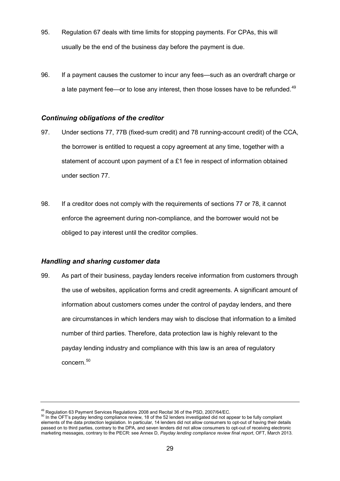- 95. Regulation 67 deals with time limits for stopping payments. For CPAs, this will usually be the end of the business day before the payment is due.
- 96. If a payment causes the customer to incur any fees—such as an overdraft charge or a late payment fee—or to lose any interest, then those losses have to be refunded.<sup>[49](#page-27-3)</sup>

#### *Continuing obligations of the creditor*

- 97. Under sections 77, 77B (fixed-sum credit) and 78 running-account credit) of the CCA, the borrower is entitled to request a copy agreement at any time, together with a statement of account upon payment of a £1 fee in respect of information obtained under section 77.
- 98. If a creditor does not comply with the requirements of sections 77 or 78, it cannot enforce the agreement during non-compliance, and the borrower would not be obliged to pay interest until the creditor complies.

#### *Handling and sharing customer data*

99. As part of their business, payday lenders receive information from customers through the use of websites, application forms and credit agreements. A significant amount of information about customers comes under the control of payday lenders, and there are circumstances in which lenders may wish to disclose that information to a limited number of third parties. Therefore, data protection law is highly relevant to the payday lending industry and compliance with this law is an area of regulatory concern. [50](#page-28-0)

<span id="page-28-1"></span><span id="page-28-0"></span><sup>&</sup>lt;sup>49</sup> Regulation 63 Payment Services Regulations 2008 and Recital 36 of the PSD, 2007/64/EC.<br><sup>50</sup> In the OFT's payday lending compliance review, 18 of the 52 lenders investigated did not appear to be fully compliant elements of the data protection legislation. In particular, 14 lenders did not allow consumers to opt-out of having their details passed on to third parties, contrary to the DPA, and seven lenders did not allow consumers to opt-out of receiving electronic marketing messages, contrary to the PECR: see Annex D, *Payday lending compliance review final report*, OFT, March 2013.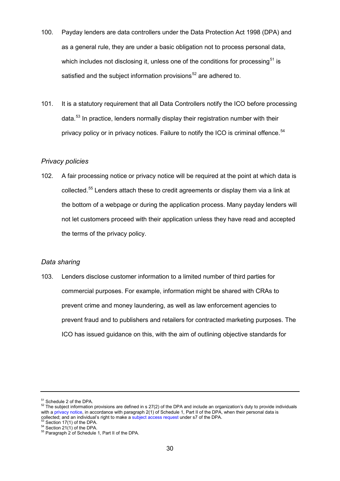- 100. Payday lenders are data controllers under the Data Protection Act 1998 (DPA) and as a general rule, they are under a basic obligation not to process personal data, which includes not disclosing it, unless one of the conditions for processing  $51$  is satisfied and the subject information provisions<sup>[52](#page-29-0)</sup> are adhered to.
- 101. It is a statutory requirement that all Data Controllers notify the ICO before processing data. [53](#page-29-1) In practice, lenders normally display their registration number with their privacy policy or in privacy notices. Failure to notify the ICO is criminal offence.<sup>[54](#page-29-2)</sup>

#### *Privacy policies*

102. A fair processing notice or privacy notice will be required at the point at which data is collected.[55](#page-29-3) Lenders attach these to credit agreements or display them via a link at the bottom of a webpage or during the application process. Many payday lenders will not let customers proceed with their application unless they have read and accepted the terms of the privacy policy.

# *Data sharing*

103. Lenders disclose customer information to a limited number of third parties for commercial purposes. For example, information might be shared with CRAs to prevent crime and money laundering, as well as law enforcement agencies to prevent fraud and to publishers and retailers for contracted marketing purposes. The ICO has issued guidance on this, with the aim of outlining objective standards for

<span id="page-29-1"></span>

<span id="page-29-4"></span><span id="page-29-0"></span><sup>&</sup>lt;sup>51</sup> Schedule 2 of the DPA.<br><sup>52</sup> The subject information provisions are defined in s 27(2) of the DPA and include an organization's duty to provide individuals with a [privacy notice,](http://www.ico.org.uk/for_organisations/data_protection/the_guide/principle_1#privacynotice) in accordance with paragraph 2(1) of Schedule 1, Part II of the DPA, when their personal data is collected; and an individual's right to make [a subject access request](http://www.ico.org.uk/for_organisations/data_protection/the_guide/principle_6/access_to_personal_data) under s7 of the DPA.<br>  $^{53}$  Section 17(1) of the DPA.<br>  $^{54}$  Section 17(1) of the DPA.<br>  $^{55}$  Paragraph 2 of Schedule 1, Part II of the DPA.

<span id="page-29-3"></span><span id="page-29-2"></span>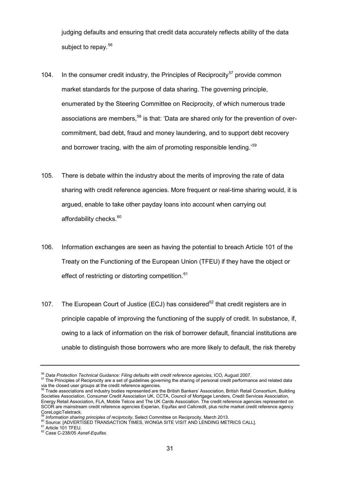judging defaults and ensuring that credit data accurately reflects ability of the data subject to repay.<sup>[56](#page-29-4)</sup>

- 104. In the consumer credit industry, the Principles of Reciprocity<sup>[57](#page-30-0)</sup> provide common market standards for the purpose of data sharing. The governing principle, enumerated by the Steering Committee on Reciprocity, of which numerous trade associations are members,<sup>[58](#page-30-1)</sup> is that: 'Data are shared only for the prevention of overcommitment, bad debt, fraud and money laundering, and to support debt recovery and borrower tracing, with the aim of promoting responsible lending.'<sup>[59](#page-30-2)</sup>
- 105. There is debate within the industry about the merits of improving the rate of data sharing with credit reference agencies. More frequent or real-time sharing would, it is argued, enable to take other payday loans into account when carrying out affordability checks. $60$
- 106. Information exchanges are seen as having the potential to breach Article 101 of the Treaty on the Functioning of the European Union (TFEU) if they have the object or effect of restricting or distorting competition.<sup>[61](#page-30-4)</sup>
- 107. The European Court of Justice (ECJ) has considered<sup>[62](#page-30-5)</sup> that credit registers are in principle capable of improving the functioning of the supply of credit. In substance, if, owing to a lack of information on the risk of borrower default, financial institutions are unable to distinguish those borrowers who are more likely to default, the risk thereby

<span id="page-30-3"></span><span id="page-30-2"></span><sup>59</sup> Information sharing principles of reciprocity, Select Committee on Reciprocity, March 2013.<br><sup>60</sup> Source: [ADVERTISED TRANSACTION TIMES, WONGA SITE VISIT AND LENDING METRICS CALL].<br><sup>61</sup> Article 101 TFEU.<br><sup>62</sup> Case C-23

<span id="page-30-4"></span>

<span id="page-30-0"></span><sup>&</sup>lt;sup>56</sup> Data Protection Technical Guidance: Filing defaults with credit reference agencies, ICO, August 2007.<br><sup>57</sup> The Principles of Reciprocity are a set of guidelines governing the sharing of personal credit performance and

<span id="page-30-1"></span>via the closed user groups at the credit reference agencies.<br><sup>58</sup> Trade associations and industry bodies represented are the British Bankers' Association, British Retail Consortium, Building Societies Association, Consumer Credit Association UK, CCTA, Council of Mortgage Lenders, Credit Services Association, Energy Retail Association, FLA, Mobile Telcos and The UK Cards Association. The credit reference agencies represented on SCOR are mainstream credit reference agencies Experian, Equifax and Callcredit, plus niche market credit reference agency CoreLogicTeletrack.

<span id="page-30-5"></span>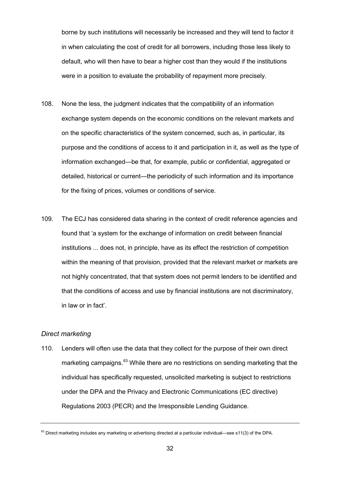borne by such institutions will necessarily be increased and they will tend to factor it in when calculating the cost of credit for all borrowers, including those less likely to default, who will then have to bear a higher cost than they would if the institutions were in a position to evaluate the probability of repayment more precisely.

- 108. None the less, the judgment indicates that the compatibility of an information exchange system depends on the economic conditions on the relevant markets and on the specific characteristics of the system concerned, such as, in particular, its purpose and the conditions of access to it and participation in it, as well as the type of information exchanged—be that, for example, public or confidential, aggregated or detailed, historical or current—the periodicity of such information and its importance for the fixing of prices, volumes or conditions of service.
- 109. The ECJ has considered data sharing in the context of credit reference agencies and found that 'a system for the exchange of information on credit between financial institutions ... does not, in principle, have as its effect the restriction of competition within the meaning of that provision, provided that the relevant market or markets are not highly concentrated, that that system does not permit lenders to be identified and that the conditions of access and use by financial institutions are not discriminatory, in law or in fact'.

#### *Direct marketing*

110. Lenders will often use the data that they collect for the purpose of their own direct marketing campaigns.<sup>[63](#page-30-5)</sup> While there are no restrictions on sending marketing that the individual has specifically requested, unsolicited marketing is subject to restrictions under the DPA and the Privacy and Electronic Communications (EC directive) Regulations 2003 (PECR) and the Irresponsible Lending Guidance.

<span id="page-31-0"></span> $63$  Direct marketing includes any marketing or advertising directed at a particular individual—see s11(3) of the DPA.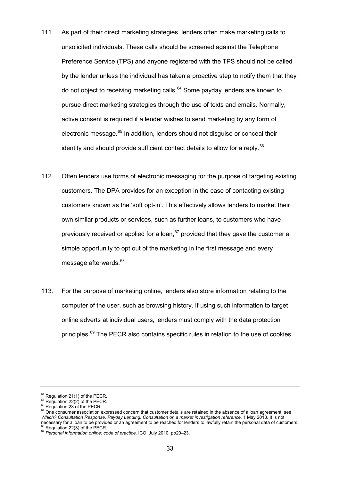- 111. As part of their direct marketing strategies, lenders often make marketing calls to unsolicited individuals. These calls should be screened against the Telephone Preference Service (TPS) and anyone registered with the TPS should not be called by the lender unless the individual has taken a proactive step to notify them that they do not object to receiving marketing calls.<sup>[64](#page-31-0)</sup> Some payday lenders are known to pursue direct marketing strategies through the use of texts and emails. Normally, active consent is required if a lender wishes to send marketing by any form of electronic message.<sup>[65](#page-32-0)</sup> In addition, lenders should not disquise or conceal their identity and should provide sufficient contact details to allow for a reply.  $66$
- 112. Often lenders use forms of electronic messaging for the purpose of targeting existing customers. The DPA provides for an exception in the case of contacting existing customers known as the 'soft opt-in'. This effectively allows lenders to market their own similar products or services, such as further loans, to customers who have previously received or applied for a loan, <sup>[67](#page-32-2)</sup> provided that they gave the customer a simple opportunity to opt out of the marketing in the first message and every message afterwards.<sup>[68](#page-32-3)</sup>
- 113. For the purpose of marketing online, lenders also store information relating to the computer of the user, such as browsing history. If using such information to target online adverts at individual users, lenders must comply with the data protection principles.<sup>[69](#page-32-4)</sup> The PECR also contains specific rules in relation to the use of cookies.

<span id="page-32-0"></span>

<span id="page-32-2"></span><span id="page-32-1"></span>

<sup>&</sup>lt;sup>64</sup> Regulation 21(1) of the PECR.<br><sup>65</sup> Regulation 22(2) of the PECR.<br><sup>66</sup> Regulation 23 of the PECR.<br><sup>67</sup> One consumer association expressed concern that customer details are retained in the absence of a loan agreement: *Which? Consultation Response, Payday Lending: Consultation on a market investigation reference,* 1 May 2013. It is not mecessary for a loan to be provided or an agreement to be reached for lenders to lawfully retain the personal data of customers.<br><sup>68</sup> Regulation 22(3) of the PECR.<br><sup>69</sup> Personal information online: code of practice, ICO, J

<span id="page-32-4"></span><span id="page-32-3"></span>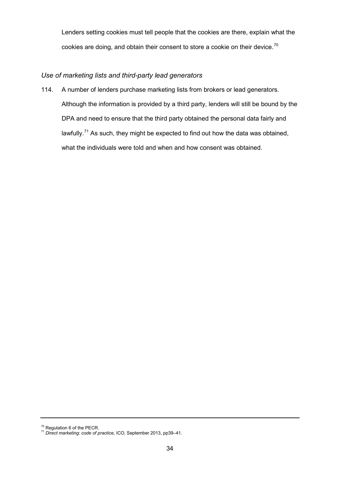Lenders setting cookies must tell people that the cookies are there, explain what the cookies are doing, and obtain their consent to store a cookie on their device.<sup>[70](#page-32-3)</sup>

# *Use of marketing lists and third-party lead generators*

114. A number of lenders purchase marketing lists from brokers or lead generators. Although the information is provided by a third party, lenders will still be bound by the DPA and need to ensure that the third party obtained the personal data fairly and lawfully.<sup>[71](#page-33-0)</sup> As such, they might be expected to find out how the data was obtained, what the individuals were told and when and how consent was obtained.

<span id="page-33-1"></span><span id="page-33-0"></span><sup>&</sup>lt;sup>70</sup> Regulation 6 of the PECR.<br><sup>71</sup> Direct marketing: code of practice, ICO, September 2013, pp39–41.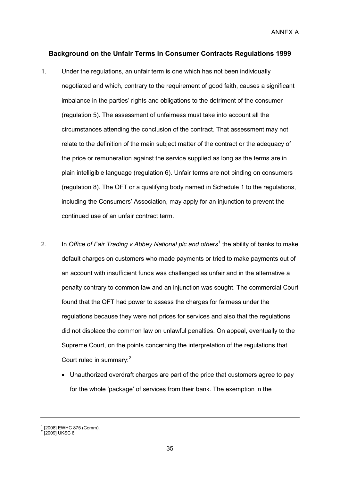ANNEX A

## **Background on the Unfair Terms in Consumer Contracts Regulations 1999**

- 1. Under the regulations, an unfair term is one which has not been individually negotiated and which, contrary to the requirement of good faith, causes a significant imbalance in the parties' rights and obligations to the detriment of the consumer (regulation 5). The assessment of unfairness must take into account all the circumstances attending the conclusion of the contract. That assessment may not relate to the definition of the main subject matter of the contract or the adequacy of the price or remuneration against the service supplied as long as the terms are in plain intelligible language (regulation 6). Unfair terms are not binding on consumers (regulation 8). The OFT or a qualifying body named in Schedule 1 to the regulations, including the Consumers' Association, may apply for an injunction to prevent the continued use of an unfair contract term.
- 2. In *Office of Fair Trading v Abbey National plc and others<sup>[1](#page-33-1)</sup> the ability of banks to make* default charges on customers who made payments or tried to make payments out of an account with insufficient funds was challenged as unfair and in the alternative a penalty contrary to common law and an injunction was sought. The commercial Court found that the OFT had power to assess the charges for fairness under the regulations because they were not prices for services and also that the regulations did not displace the common law on unlawful penalties. On appeal, eventually to the Supreme Court, on the points concerning the interpretation of the regulations that Court ruled in summary: [2](#page-34-0)
	- Unauthorized overdraft charges are part of the price that customers agree to pay for the whole 'package' of services from their bank. The exemption in the

<span id="page-34-0"></span> $^{1}$  [2008] EWHC 875 (Comm).<br> $^{2}$  [2009] UKSC 6.